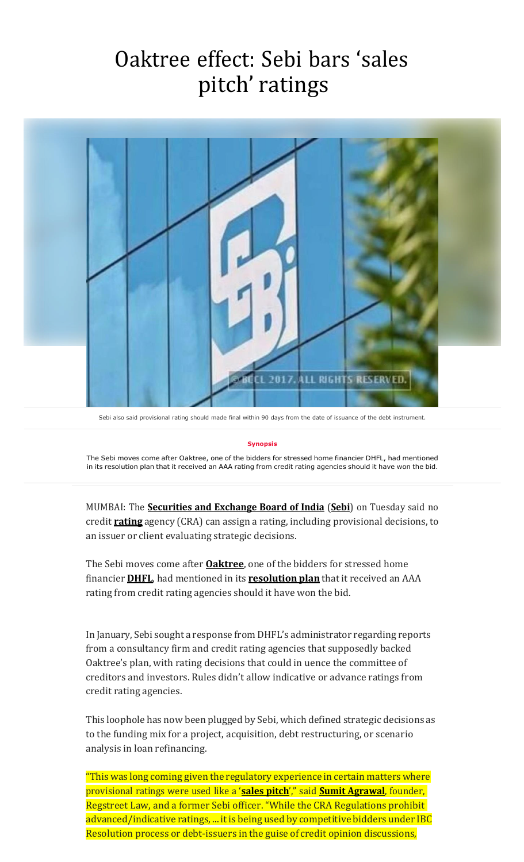## Oaktree effect: Sebi bars 'sales pitch' ratings



Sebi also said provisional rating should made final within 90 days from the date of issuance of the debt instrument.

## **Synopsis**

The Sebi moves come after Oaktree, one of the bidders for stressed home financier DHFL, had mentioned in its resolution plan that it received an AAA rating from credit rating agencies should it have won the bid.

MUMBAI: The **[Securities and Exchange Board of India](https://economictimes.indiatimes.com/topic/Securities-and-Exchange-Board-of-India)** (**[Sebi](https://economictimes.indiatimes.com/topic/Sebi)**) on Tuesday said no credit **[rating](https://economictimes.indiatimes.com/topic/rating)** agency (CRA) can assign a rating, including provisional decisions, to an issuer or client evaluating strategic decisions.

The Sebi moves come after **[Oaktree](https://economictimes.indiatimes.com/topic/Oaktree)**, one of the bidders for stressed home financier **[DHFL](https://economictimes.indiatimes.com/dewan-housing-finance-corporation-ltd/stocks/companyid-12024.cms)**, had mentioned in its **[resolution](https://economictimes.indiatimes.com/topic/resolution-plan) plan** that it received an AAA rating from credit rating agencies should it have won the bid.

In January, Sebi sought a response from DHFL's administrator regarding reports from a consultancy firm and credit rating agencies that supposedly backed Oaktree's plan, with rating decisions that could in uence the committee of creditors and investors. Rules didn't allow indicative or advance ratings from credit rating agencies.

This loophole has now been plugged by Sebi, which defined strategic decisions as to the funding mix for a project, acquisition, debt restructuring, or scenario analysis in loan refinancing.

"This was long coming given the regulatory experience in certain matters where provisional ratings were used like a '**sales [pitch](https://economictimes.indiatimes.com/topic/sales-pitch)**'," said **Sumit [Agrawal](https://economictimes.indiatimes.com/topic/Sumit-Agrawal)**, founder, Regstreet Law, and a former Sebi officer. "While the CRA Regulations prohibit advanced/indicative ratings, ... it is being used by competitive bidders under IBC Resolution process or debt-issuers in the guise of credit opinion discussions,